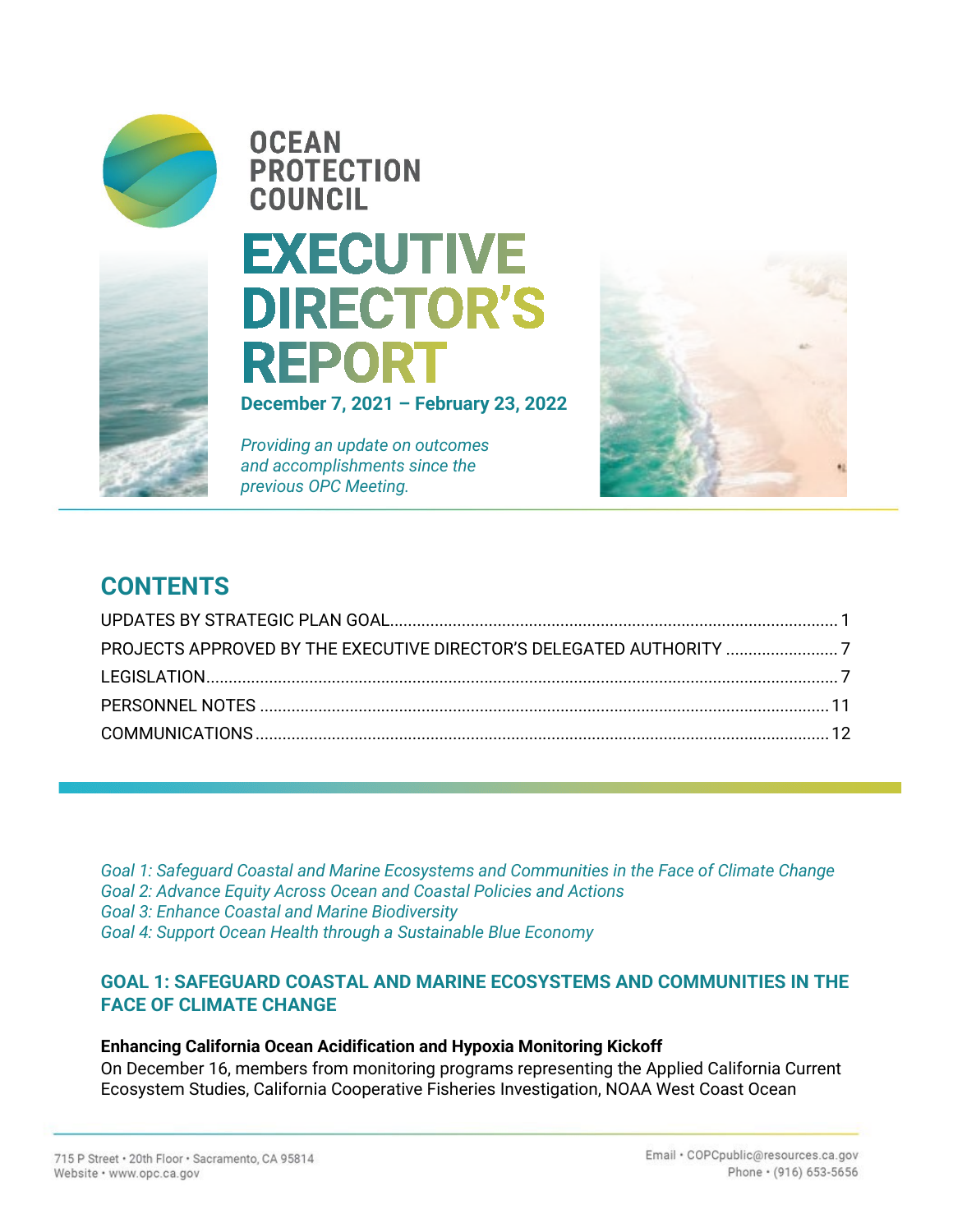

**OCEAN PROTECTION COUNCIL** 

# **EXECUTIVE DIRECTOR'S REPORT**

**December 7, 2021 – February 23, 2022**

*Providing an update on outcomes and accomplishments since the previous OPC Meeting.*



# **CONTENTS**

*Goal 1: Safeguard Coastal and Marine Ecosystems and Communities in the Face of Climate Change Goal 2: Advance Equity Across Ocean and Coastal Policies and Actions Goal 3: Enhance Coastal and Marine Biodiversity Goal 4: Support Ocean Health through a Sustainable Blue Economy* 

# **GOAL 1: SAFEGUARD COASTAL AND MARINE ECOSYSTEMS AND COMMUNITIES IN THE FACE OF CLIMATE CHANGE**

#### **Enhancing California Ocean Acidification and Hypoxia Monitoring Kickoff**

On December 16, members from monitoring programs representing the Applied California Current Ecosystem Studies, California Cooperative Fisheries Investigation, NOAA West Coast Ocean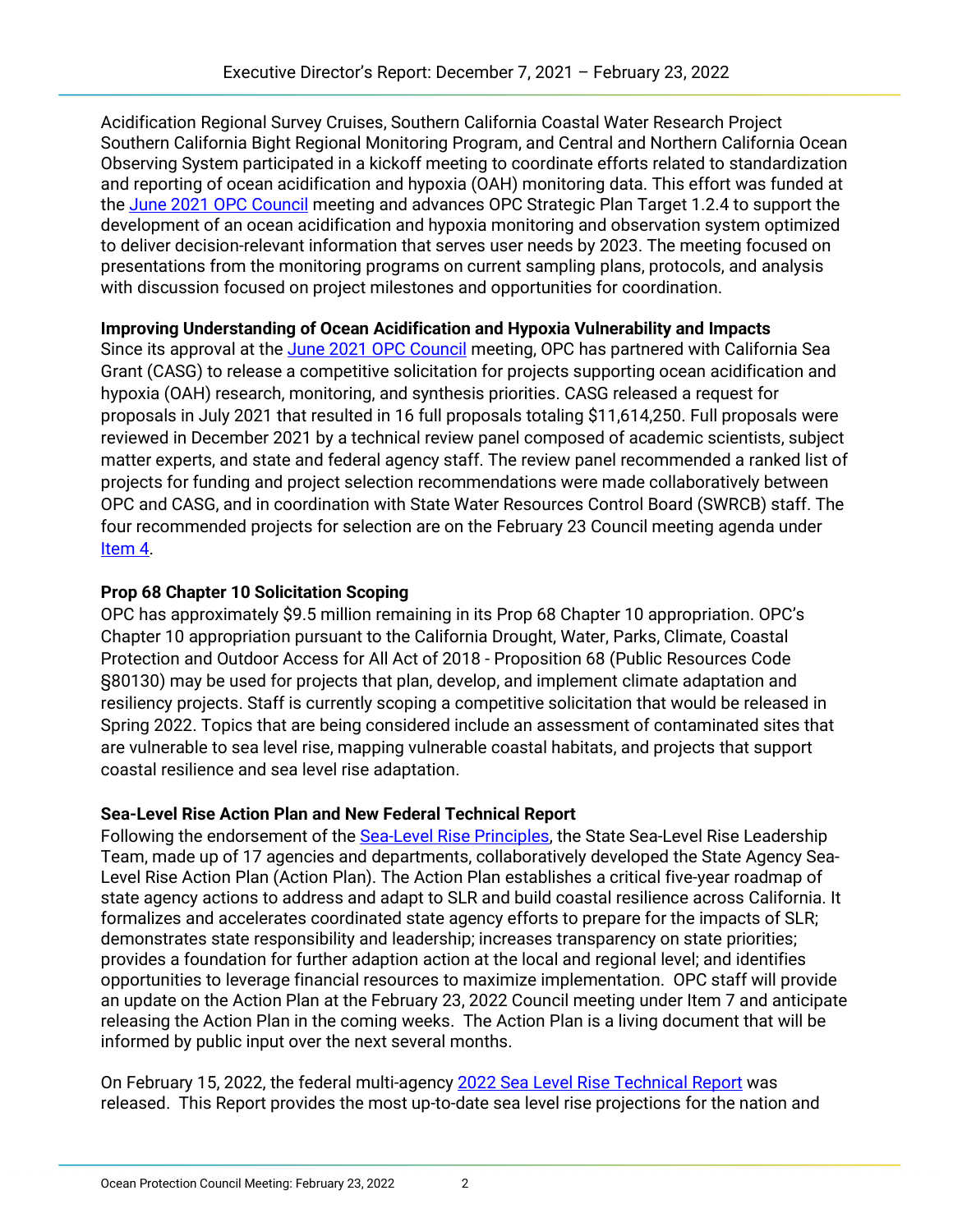Acidification Regional Survey Cruises, Southern California Coastal Water Research Project Southern California Bight Regional Monitoring Program, and Central and Northern California Ocean Observing System participated in a kickoff meeting to coordinate efforts related to standardization and reporting of ocean acidification and hypoxia (OAH) monitoring data. This effort was funded at the [June 2021 OPC Council](https://www.opc.ca.gov/webmaster/ftp/pdf/agenda_items/20210615/Item4b_OAH_monitoring_FINAL.pdf) meeting and advances OPC Strategic Plan Target 1.2.4 to support the development of an ocean acidification and hypoxia monitoring and observation system optimized to deliver decision-relevant information that serves user needs by 2023. The meeting focused on presentations from the monitoring programs on current sampling plans, protocols, and analysis with discussion focused on project milestones and opportunities for coordination.

### **Improving Understanding of Ocean Acidification and Hypoxia Vulnerability and Impacts**

Since its approval at th[e June 2021 OPC Council](https://www.opc.ca.gov/webmaster/ftp/pdf/agenda_items/20210615/Item4a_Prop_68_OAH_Competive_Call_with_Sea_Grant_FINAL.pdf) meeting, OPC has partnered with California Sea Grant (CASG) to release a competitive solicitation for projects supporting ocean acidification and hypoxia (OAH) research, monitoring, and synthesis priorities. CASG released a request for proposals in July 2021 that resulted in 16 full proposals totaling \$11,614,250. Full proposals were reviewed in December 2021 by a technical review panel composed of academic scientists, subject matter experts, and state and federal agency staff. The review panel recommended a ranked list of projects for funding and project selection recommendations were made collaboratively between OPC and CASG, and in coordination with State Water Resources Control Board (SWRCB) staff. The four recommended projects for selection are on the February 23 Council meeting agenda under [Item 4.](https://www.opc.ca.gov/webmaster/ftp/pdf/agenda_items/20220223/Item_4_OAH_Project_Funding_Final.pdf)

### **Prop 68 Chapter 10 Solicitation Scoping**

OPC has approximately \$9.5 million remaining in its Prop 68 Chapter 10 appropriation. OPC's Chapter 10 appropriation pursuant to the California Drought, Water, Parks, Climate, Coastal Protection and Outdoor Access for All Act of 2018 - Proposition 68 (Public Resources Code §80130) may be used for projects that plan, develop, and implement climate adaptation and resiliency projects. Staff is currently scoping a competitive solicitation that would be released in Spring 2022. Topics that are being considered include an assessment of contaminated sites that are vulnerable to sea level rise, mapping vulnerable coastal habitats, and projects that support coastal resilience and sea level rise adaptation.

# **Sea-Level Rise Action Plan and New Federal Technical Report**

Following the endorsement of the [Sea-Level Rise Principles,](https://www.opc.ca.gov/webmaster/_media_library/2021/01/State-SLR-Principles-Doc_Oct2020.pdf) the State Sea-Level Rise Leadership Team, made up of 17 agencies and departments, collaboratively developed the State Agency Sea-Level Rise Action Plan (Action Plan). The Action Plan establishes a critical five-year roadmap of state agency actions to address and adapt to SLR and build coastal resilience across California. It formalizes and accelerates coordinated state agency efforts to prepare for the impacts of SLR; demonstrates state responsibility and leadership; increases transparency on state priorities; provides a foundation for further adaption action at the local and regional level; and identifies opportunities to leverage financial resources to maximize implementation. OPC staff will provide an update on the Action Plan at the February 23, 2022 Council meeting under Item 7 and anticipate releasing the Action Plan in the coming weeks. The Action Plan is a living document that will be informed by public input over the next several months.

On February 15, 2022, the federal multi-agency [2022 Sea Level Rise Technical Report](https://oceanservice.noaa.gov/hazards/sealevelrise/sealevelrise-tech-report.html) was released. This Report provides the most up-to-date sea level rise projections for the nation and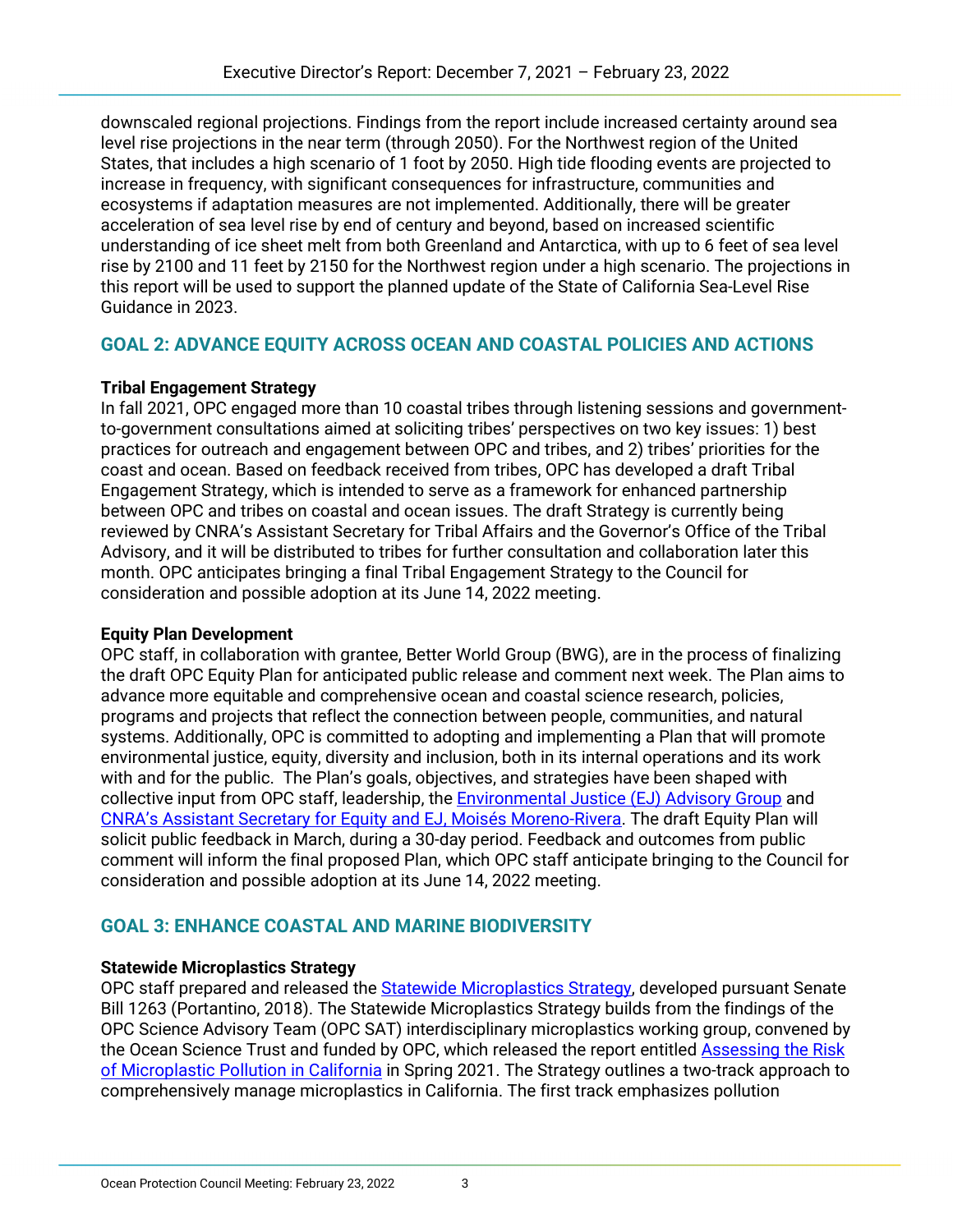downscaled regional projections. Findings from the report include increased certainty around sea level rise projections in the near term (through 2050). For the Northwest region of the United States, that includes a high scenario of 1 foot by 2050. High tide flooding events are projected to increase in frequency, with significant consequences for infrastructure, communities and ecosystems if adaptation measures are not implemented. Additionally, there will be greater acceleration of sea level rise by end of century and beyond, based on increased scientific understanding of ice sheet melt from both Greenland and Antarctica, with up to 6 feet of sea level rise by 2100 and 11 feet by 2150 for the Northwest region under a high scenario. The projections in this report will be used to support the planned update of the State of California Sea-Level Rise Guidance in 2023.

# **GOAL 2: ADVANCE EQUITY ACROSS OCEAN AND COASTAL POLICIES AND ACTIONS**

### **Tribal Engagement Strategy**

In fall 2021, OPC engaged more than 10 coastal tribes through listening sessions and governmentto-government consultations aimed at soliciting tribes' perspectives on two key issues: 1) best practices for outreach and engagement between OPC and tribes, and 2) tribes' priorities for the coast and ocean. Based on feedback received from tribes, OPC has developed a draft Tribal Engagement Strategy, which is intended to serve as a framework for enhanced partnership between OPC and tribes on coastal and ocean issues. The draft Strategy is currently being reviewed by CNRA's Assistant Secretary for Tribal Affairs and the Governor's Office of the Tribal Advisory, and it will be distributed to tribes for further consultation and collaboration later this month. OPC anticipates bringing a final Tribal Engagement Strategy to the Council for consideration and possible adoption at its June 14, 2022 meeting.

# **Equity Plan Development**

OPC staff, in collaboration with grantee, Better World Group (BWG), are in the process of finalizing the draft OPC Equity Plan for anticipated public release and comment next week. The Plan aims to advance more equitable and comprehensive ocean and coastal science research, policies, programs and projects that reflect the connection between people, communities, and natural systems. Additionally, OPC is committed to adopting and implementing a Plan that will promote environmental justice, equity, diversity and inclusion, both in its internal operations and its work with and for the public. The Plan's goals, objectives, and strategies have been shaped with collective input from OPC staff, leadership, the **Environmental Justice (EJ) Advisory Group** and [CNRA's Assistant Secretary for Equity and EJ, Moisés Moreno-Rivera.](https://resources.ca.gov/About-Us/Who-We-Are/Assistant-Secretary-for-Equity-and-Environmental-Justice) The draft Equity Plan will solicit public feedback in March, during a 30-day period. Feedback and outcomes from public comment will inform the final proposed Plan, which OPC staff anticipate bringing to the Council for consideration and possible adoption at its June 14, 2022 meeting.

# **GOAL 3: ENHANCE COASTAL AND MARINE BIODIVERSITY**

# **Statewide Microplastics Strategy**

OPC staff prepared and released the [Statewide Microplastics Strategy,](https://www.opc.ca.gov/webmaster/ftp/pdf/agenda_items/2022023/Item_6_Statewide_Microplastics_Strategy_Staff_Rec_Final.pdf) developed pursuant Senate Bill 1263 (Portantino, 2018). The Statewide Microplastics Strategy builds from the findings of the OPC Science Advisory Team (OPC SAT) interdisciplinary microplastics working group, convened by the Ocean Science Trust and funded by OPC, which released the report entitled [Assessing the Risk](https://www.opc.ca.gov/webmaster/_media_library/2021/05/Microplastics-Risk-final-report.pdf)  [of Microplastic Pollution in California](https://www.opc.ca.gov/webmaster/_media_library/2021/05/Microplastics-Risk-final-report.pdf) in Spring 2021. The Strategy outlines a two-track approach to comprehensively manage microplastics in California. The first track emphasizes pollution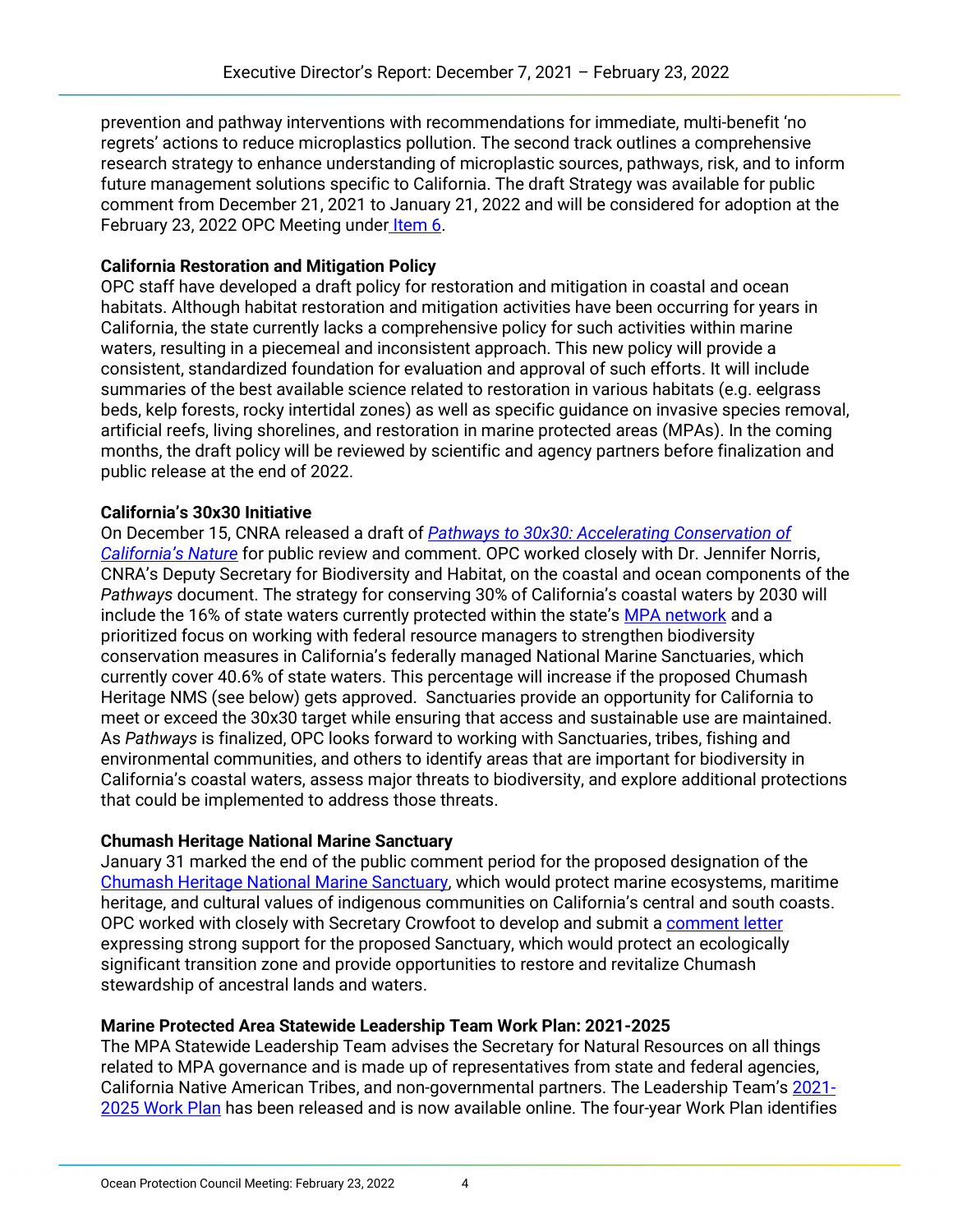prevention and pathway interventions with recommendations for immediate, multi-benefit 'no regrets' actions to reduce microplastics pollution. The second track outlines a comprehensive research strategy to enhance understanding of microplastic sources, pathways, risk, and to inform future management solutions specific to California. The draft Strategy was available for public comment from December 21, 2021 to January 21, 2022 and will be considered for adoption at the February 23, 2022 OPC Meeting under [Item 6.](https://www.opc.ca.gov/webmaster/ftp/pdf/agenda_items/20220223/Item_6_Statewide_Microplastics_Strategy_Staff_Rec_Final.pdf)

## **California Restoration and Mitigation Policy**

OPC staff have developed a draft policy for restoration and mitigation in coastal and ocean habitats. Although habitat restoration and mitigation activities have been occurring for years in California, the state currently lacks a comprehensive policy for such activities within marine waters, resulting in a piecemeal and inconsistent approach. This new policy will provide a consistent, standardized foundation for evaluation and approval of such efforts. It will include summaries of the best available science related to restoration in various habitats (e.g. eelgrass beds, kelp forests, rocky intertidal zones) as well as specific guidance on invasive species removal, artificial reefs, living shorelines, and restoration in marine protected areas (MPAs). In the coming months, the draft policy will be reviewed by scientific and agency partners before finalization and public release at the end of 2022.

### **California's 30x30 Initiative**

On December 15, CNRA released a draft of *[Pathways to 30x30: Accelerating Conservation of](https://www.californianature.ca.gov/pages/30x30)  [California's Nature](https://www.californianature.ca.gov/pages/30x30)* for public review and comment. OPC worked closely with Dr. Jennifer Norris, CNRA's Deputy Secretary for Biodiversity and Habitat, on the coastal and ocean components of the *Pathways* document. The strategy for conserving 30% of California's coastal waters by 2030 will include the 16% of state waters currently protected within the state's [MPA network](https://wildlife.ca.gov/Conservation/Marine/MPAs) and a prioritized focus on working with federal resource managers to strengthen biodiversity conservation measures in California's federally managed National Marine Sanctuaries, which currently cover 40.6% of state waters. This percentage will increase if the proposed Chumash Heritage NMS (see below) gets approved. Sanctuaries provide an opportunity for California to meet or exceed the 30x30 target while ensuring that access and sustainable use are maintained. As *Pathways* is finalized, OPC looks forward to working with Sanctuaries, tribes, fishing and environmental communities, and others to identify areas that are important for biodiversity in California's coastal waters, assess major threats to biodiversity, and explore additional protections that could be implemented to address those threats.

# **Chumash Heritage National Marine Sanctuary**

January 31 marked the end of the public comment period for the proposed designation of the [Chumash Heritage National Marine Sanctuary,](https://sanctuaries.noaa.gov/chumash-heritage/) which would protect marine ecosystems, maritime heritage, and cultural values of indigenous communities on California's central and south coasts. OPC worked with closely with Secretary Crowfoot to develop and submit a [comment letter](https://www.regulations.gov/comment/NOAA-NOS-2021-0080-1086) expressing strong support for the proposed Sanctuary, which would protect an ecologically significant transition zone and provide opportunities to restore and revitalize Chumash stewardship of ancestral lands and waters.

# **Marine Protected Area Statewide Leadership Team Work Plan: 2021-2025**

The MPA Statewide Leadership Team advises the Secretary for Natural Resources on all things related to MPA governance and is made up of representatives from state and federal agencies, California Native American Tribes, and non-governmental partners. The Leadership Team's [2021-](https://www.opc.ca.gov/webmaster/_media_library/2022/02/MSLT_WorkPlan_FINAL_02.04.22-1.pdf) 2025 [Work Plan](https://www.opc.ca.gov/webmaster/_media_library/2022/02/MSLT_WorkPlan_FINAL_02.04.22-1.pdf) has been released and is now available online. The four-year Work Plan identifies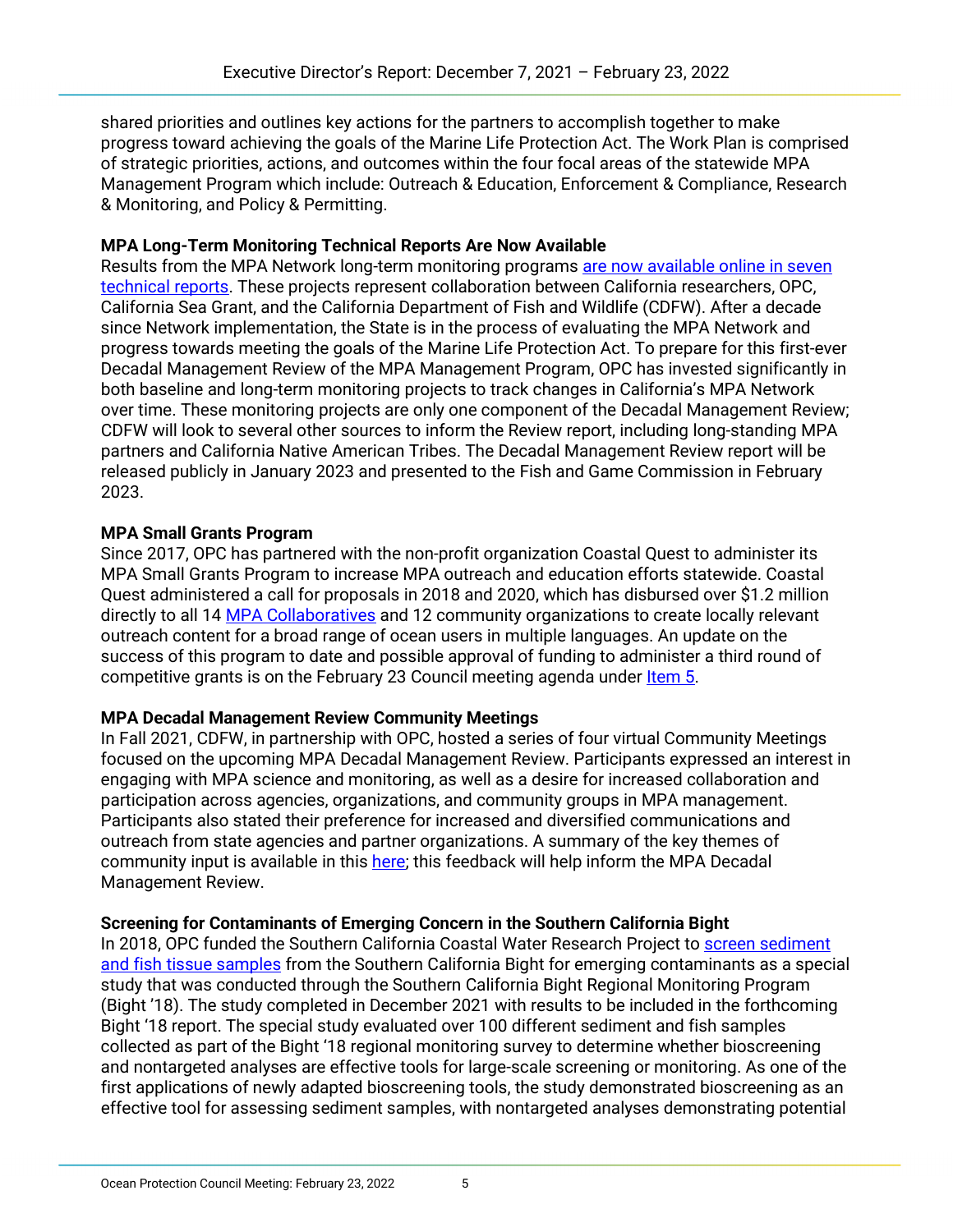shared priorities and outlines key actions for the partners to accomplish together to make progress toward achieving the goals of the Marine Life Protection Act. The Work Plan is comprised of strategic priorities, actions, and outcomes within the four focal areas of the statewide MPA Management Program which include: Outreach & Education, Enforcement & Compliance, Research & Monitoring, and Policy & Permitting.

## **MPA Long-Term Monitoring Technical Reports Are Now Available**

Results from the MPA Network long-term monitoring programs [are now available online in seven](https://caseagrant.ucsd.edu/news/completed-marine-protected-area-monitoring-projects-will-contribute-to-upcoming-review)  [technical reports.](https://caseagrant.ucsd.edu/news/completed-marine-protected-area-monitoring-projects-will-contribute-to-upcoming-review) These projects represent collaboration between California researchers, OPC, California Sea Grant, and the California Department of Fish and Wildlife (CDFW). After a decade since Network implementation, the State is in the process of evaluating the MPA Network and progress towards meeting the goals of the Marine Life Protection Act. To prepare for this first-ever Decadal Management Review of the MPA Management Program, OPC has invested significantly in both baseline and long-term monitoring projects to track changes in California's MPA Network over time. These monitoring projects are only one component of the Decadal Management Review; CDFW will look to several other sources to inform the Review report, including long-standing MPA partners and California Native American Tribes. The Decadal Management Review report will be released publicly in January 2023 and presented to the Fish and Game Commission in February 2023.

# **MPA Small Grants Program**

Since 2017, OPC has partnered with the non-profit organization Coastal Quest to administer its MPA Small Grants Program to increase MPA outreach and education efforts statewide. Coastal Quest administered a call for proposals in 2018 and 2020, which has disbursed over \$1.2 million directly to all 14 [MPA Collaboratives](https://www.mpacollaborative.org/) and 12 community organizations to create locally relevant outreach content for a broad range of ocean users in multiple languages. An update on the success of this program to date and possible approval of funding to administer a third round of competitive grants is on the February 23 Council meeting agenda under [Item 5.](https://www.opc.ca.gov/webmaster/ftp/pdf/agenda_items/20220223/Item_5_MPA_Small_Grants_Final.pdf)

#### **MPA Decadal Management Review Community Meetings**

In Fall 2021, CDFW, in partnership with OPC, hosted a series of four virtual Community Meetings focused on the upcoming MPA Decadal Management Review. Participants expressed an interest in engaging with MPA science and monitoring, as well as a desire for increased collaboration and participation across agencies, organizations, and community groups in MPA management. Participants also stated their preference for increased and diversified communications and outreach from state agencies and partner organizations. A summary of the key themes of community input is available in this [here;](https://nrm.dfg.ca.gov/FileHandler.ashx?DocumentID=197069&inline) this feedback will help inform the MPA Decadal Management Review.

# **Screening for Contaminants of Emerging Concern in the Southern California Bight**

In 2018, OPC funded the Southern California Coastal Water Research Project to [screen sediment](https://opc.ca.gov/webmaster/ftp/pdf/agenda_items/20180424/Item4c_CECs_Staff_Rec_FINAL.pdf)  [and fish tissue samples](https://opc.ca.gov/webmaster/ftp/pdf/agenda_items/20180424/Item4c_CECs_Staff_Rec_FINAL.pdf) from the Southern California Bight for emerging contaminants as a special study that was conducted through the Southern California Bight Regional Monitoring Program (Bight '18). The study completed in December 2021 with results to be included in the forthcoming Bight '18 report. The special study evaluated over 100 different sediment and fish samples collected as part of the Bight '18 regional monitoring survey to determine whether bioscreening and nontargeted analyses are effective tools for large-scale screening or monitoring. As one of the first applications of newly adapted bioscreening tools, the study demonstrated bioscreening as an effective tool for assessing sediment samples, with nontargeted analyses demonstrating potential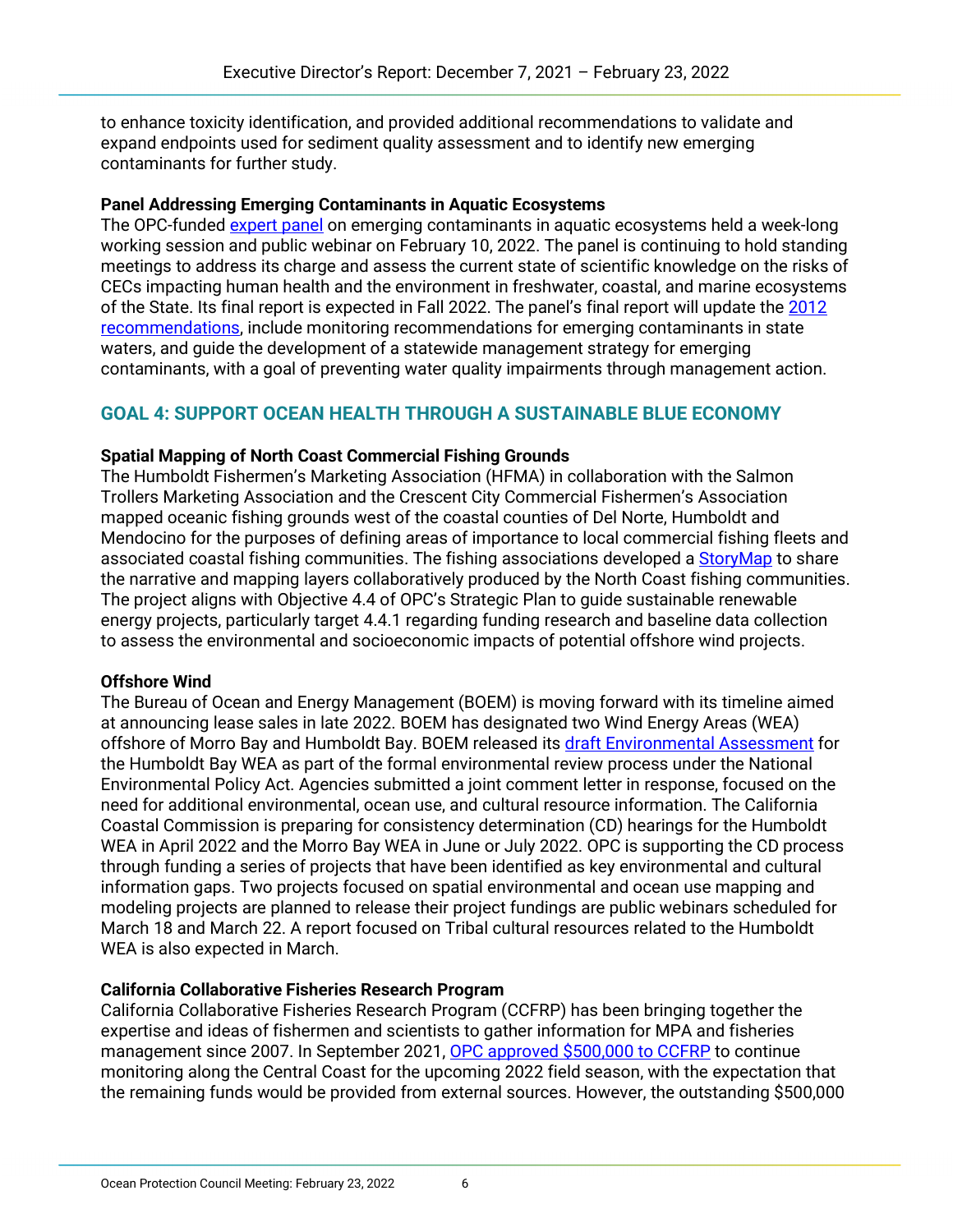to enhance toxicity identification, and provided additional recommendations to validate and expand endpoints used for sediment quality assessment and to identify new emerging contaminants for further study.

#### **Panel Addressing Emerging Contaminants in Aquatic Ecosystems**

The OPC-funde[d expert panel](https://sccwrp.org/about/research-areas/emerging-contaminants/cec-ecosystems-panel/) on emerging contaminants in aquatic ecosystems held a week-long working session and public webinar on February 10, 2022. The panel is continuing to hold standing meetings to address its charge and assess the current state of scientific knowledge on the risks of CECs impacting human health and the environment in freshwater, coastal, and marine ecosystems of the State. Its final report is expected in Fall 2022. The panel's final report will update the [2012](https://www.waterboards.ca.gov/water_issues/programs/swamp/cec_aquatic/docs/cec_ecosystems_rpt.pdf)  [recommendations,](https://www.waterboards.ca.gov/water_issues/programs/swamp/cec_aquatic/docs/cec_ecosystems_rpt.pdf) include monitoring recommendations for emerging contaminants in state waters, and guide the development of a statewide management strategy for emerging contaminants, with a goal of preventing water quality impairments through management action.

# **GOAL 4: SUPPORT OCEAN HEALTH THROUGH A SUSTAINABLE BLUE ECONOMY**

#### **Spatial Mapping of North Coast Commercial Fishing Grounds**

The Humboldt Fishermen's Marketing Association (HFMA) in collaboration with the Salmon Trollers Marketing Association and the Crescent City Commercial Fishermen's Association mapped oceanic fishing grounds west of the coastal counties of Del Norte, Humboldt and Mendocino for the purposes of defining areas of importance to local commercial fishing fleets and associated coastal fishing communities. The fishing associations developed a [StoryMap](https://storymaps.arcgis.com/stories/ec90562aada545acb6bb1bf6f3c8f228) to share the narrative and mapping layers collaboratively produced by the North Coast fishing communities. The project aligns with Objective 4.4 of OPC's Strategic Plan to guide sustainable renewable energy projects, particularly target 4.4.1 regarding funding research and baseline data collection to assess the environmental and socioeconomic impacts of potential offshore wind projects.

#### **Offshore Wind**

The Bureau of Ocean and Energy Management (BOEM) is moving forward with its timeline aimed at announcing lease sales in late 2022. BOEM has designated two Wind Energy Areas (WEA) offshore of Morro Bay and Humboldt Bay. BOEM released its [draft Environmental Assessment](https://www.boem.gov/renewable-energy/humboldt-wind-energy-area-environmental-assessment-and-appendices) for the Humboldt Bay WEA as part of the formal environmental review process under the National Environmental Policy Act. Agencies submitted a joint comment letter in response, focused on the need for additional environmental, ocean use, and cultural resource information. The California Coastal Commission is preparing for consistency determination (CD) hearings for the Humboldt WEA in April 2022 and the Morro Bay WEA in June or July 2022. OPC is supporting the CD process through funding a series of projects that have been identified as key environmental and cultural information gaps. Two projects focused on spatial environmental and ocean use mapping and modeling projects are planned to release their project fundings are public webinars scheduled for March 18 and March 22. A report focused on Tribal cultural resources related to the Humboldt WEA is also expected in March.

#### **California Collaborative Fisheries Research Program**

California Collaborative Fisheries Research Program (CCFRP) has been bringing together the expertise and ideas of fishermen and scientists to gather information for MPA and fisheries management since 2007. In September 2021, [OPC approved \\$500,000 to CCFRP](https://www.opc.ca.gov/webmaster/ftp/pdf/agenda_items/20210914/Item_5c_CCFRP_Staff_Rec_FINAL.pdf) to continue monitoring along the Central Coast for the upcoming 2022 field season, with the expectation that the remaining funds would be provided from external sources. However, the outstanding \$500,000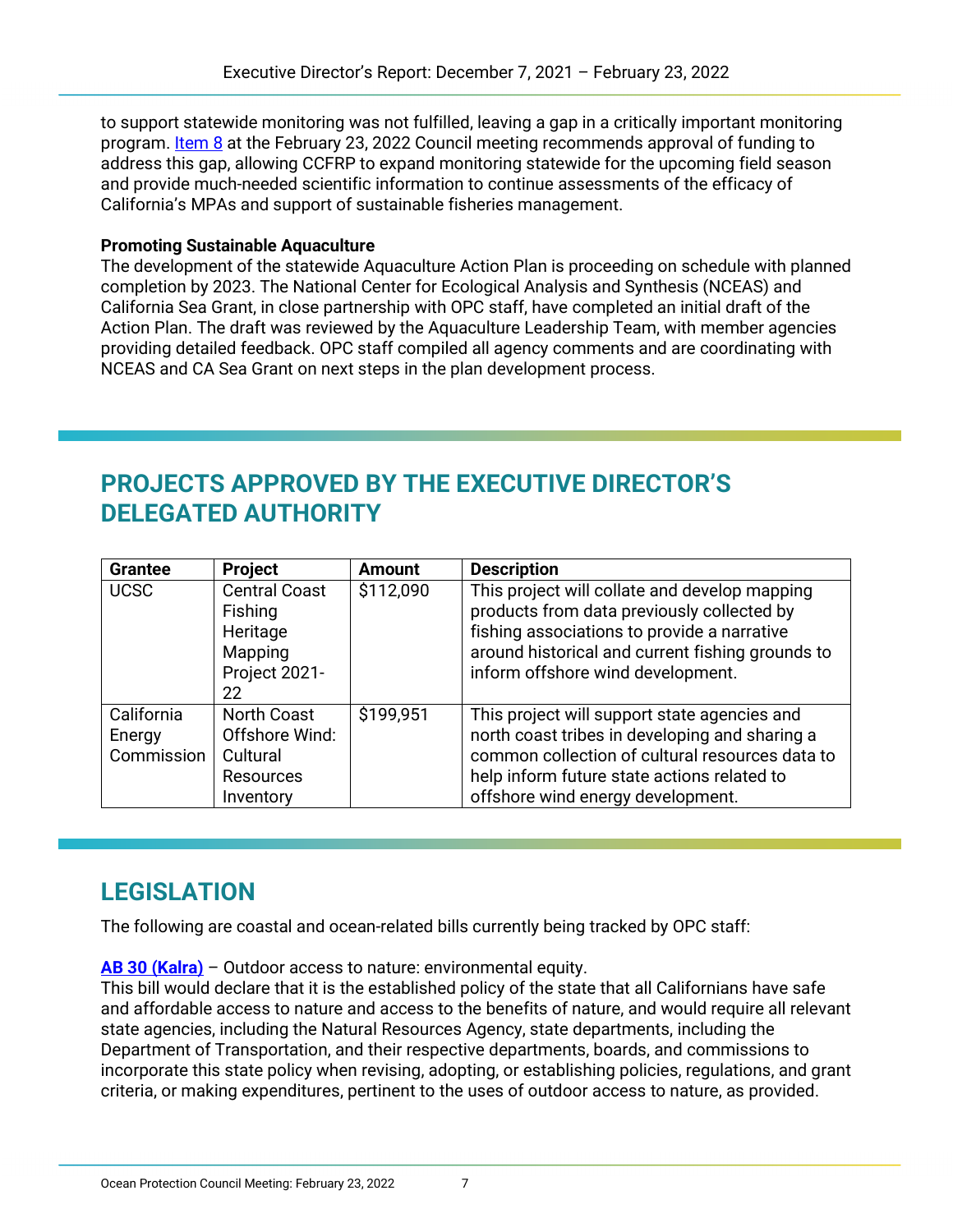to support statewide monitoring was not fulfilled, leaving a gap in a critically important monitoring program. [Item 8](https://www.opc.ca.gov/webmaster/ftp/pdf/agenda_items/20220223/Item_8_CCFRP_Consent_Staff_Rec_Final.pdf) at the February 23, 2022 Council meeting recommends approval of funding to address this gap, allowing CCFRP to expand monitoring statewide for the upcoming field season and provide much-needed scientific information to continue assessments of the efficacy of California's MPAs and support of sustainable fisheries management.

#### **Promoting Sustainable Aquaculture**

The development of the statewide Aquaculture Action Plan is proceeding on schedule with planned completion by 2023. The National Center for Ecological Analysis and Synthesis (NCEAS) and California Sea Grant, in close partnership with OPC staff, have completed an initial draft of the Action Plan. The draft was reviewed by the Aquaculture Leadership Team, with member agencies providing detailed feedback. OPC staff compiled all agency comments and are coordinating with NCEAS and CA Sea Grant on next steps in the plan development process.

# **PROJECTS APPROVED BY THE EXECUTIVE DIRECTOR'S DELEGATED AUTHORITY**

| <b>Grantee</b>                     | Project                                                                           | <b>Amount</b> | <b>Description</b>                                                                                                                                                                                                                    |
|------------------------------------|-----------------------------------------------------------------------------------|---------------|---------------------------------------------------------------------------------------------------------------------------------------------------------------------------------------------------------------------------------------|
| <b>UCSC</b>                        | <b>Central Coast</b><br>Fishing<br>Heritage<br>Mapping<br>Project 2021-<br>22     | \$112,090     | This project will collate and develop mapping<br>products from data previously collected by<br>fishing associations to provide a narrative<br>around historical and current fishing grounds to<br>inform offshore wind development.   |
| California<br>Energy<br>Commission | <b>North Coast</b><br>Offshore Wind:<br>Cultural<br><b>Resources</b><br>Inventory | \$199.951     | This project will support state agencies and<br>north coast tribes in developing and sharing a<br>common collection of cultural resources data to<br>help inform future state actions related to<br>offshore wind energy development. |

# **LEGISLATION**

The following are coastal and ocean-related bills currently being tracked by OPC staff:

**[AB 30 \(Kalra\)](https://leginfo.legislature.ca.gov/faces/billNavClient.xhtml?bill_id=202120220AB30)** – Outdoor access to nature: environmental equity.

This bill would declare that it is the established policy of the state that all Californians have safe and affordable access to nature and access to the benefits of nature, and would require all relevant state agencies, including the Natural Resources Agency, state departments, including the Department of Transportation, and their respective departments, boards, and commissions to incorporate this state policy when revising, adopting, or establishing policies, regulations, and grant criteria, or making expenditures, pertinent to the uses of outdoor access to nature, as provided.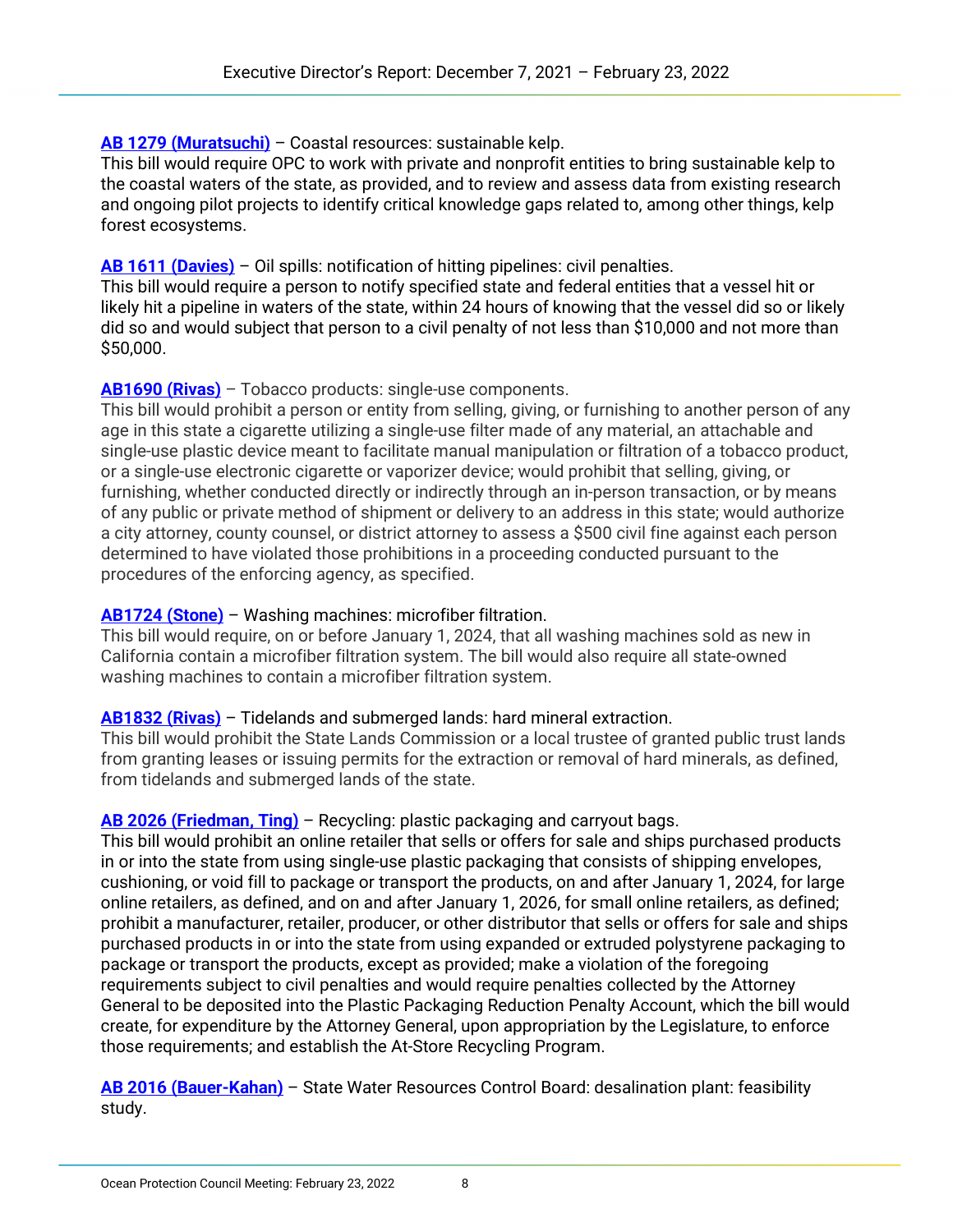## **[AB 1279 \(Muratsuchi\)](https://leginfo.legislature.ca.gov/faces/billNavClient.xhtml?bill_id=202120220AB1279)** – Coastal resources: sustainable kelp.

This bill would require OPC to work with private and nonprofit entities to bring sustainable kelp to the coastal waters of the state, as provided, and to review and assess data from existing research and ongoing pilot projects to identify critical knowledge gaps related to, among other things, kelp forest ecosystems.

## **[AB 1611 \(Davies\)](https://leginfo.legislature.ca.gov/faces/billNavClient.xhtml?bill_id=202120220AB1611)** – Oil spills: notification of hitting pipelines: civil penalties.

This bill would require a person to notify specified state and federal entities that a vessel hit or likely hit a pipeline in waters of the state, within 24 hours of knowing that the vessel did so or likely did so and would subject that person to a civil penalty of not less than \$10,000 and not more than \$50,000.

### **[AB1690 \(Rivas\)](https://leginfo.legislature.ca.gov/faces/billNavClient.xhtml?bill_id=202120220AB1690)** – Tobacco products: single-use components.

This bill would prohibit a person or entity from selling, giving, or furnishing to another person of any age in this state a cigarette utilizing a single-use filter made of any material, an attachable and single-use plastic device meant to facilitate manual manipulation or filtration of a tobacco product, or a single-use electronic cigarette or vaporizer device; would prohibit that selling, giving, or furnishing, whether conducted directly or indirectly through an in-person transaction, or by means of any public or private method of shipment or delivery to an address in this state; would authorize a city attorney, county counsel, or district attorney to assess a \$500 civil fine against each person determined to have violated those prohibitions in a proceeding conducted pursuant to the procedures of the enforcing agency, as specified.

### **[AB1724 \(Stone\)](https://leginfo.legislature.ca.gov/faces/billNavClient.xhtml?bill_id=202120220AB1724)** – Washing machines: microfiber filtration.

This bill would require, on or before January 1, 2024, that all washing machines sold as new in California contain a microfiber filtration system. The bill would also require all state-owned washing machines to contain a microfiber filtration system.

#### **[AB1832 \(Rivas\)](https://leginfo.legislature.ca.gov/faces/billNavClient.xhtml?bill_id=202120220AB1832)** – Tidelands and submerged lands: hard mineral extraction.

This bill would prohibit the State Lands Commission or a local trustee of granted public trust lands from granting leases or issuing permits for the extraction or removal of hard minerals, as defined, from tidelands and submerged lands of the state.

#### **[AB 2026 \(Friedman, Ting\)](https://leginfo.legislature.ca.gov/faces/billNavClient.xhtml?bill_id=202120220AB2026)** – Recycling: plastic packaging and carryout bags.

This bill would prohibit an online retailer that sells or offers for sale and ships purchased products in or into the state from using single-use plastic packaging that consists of shipping envelopes, cushioning, or void fill to package or transport the products, on and after January 1, 2024, for large online retailers, as defined, and on and after January 1, 2026, for small online retailers, as defined; prohibit a manufacturer, retailer, producer, or other distributor that sells or offers for sale and ships purchased products in or into the state from using expanded or extruded polystyrene packaging to package or transport the products, except as provided; make a violation of the foregoing requirements subject to civil penalties and would require penalties collected by the Attorney General to be deposited into the Plastic Packaging Reduction Penalty Account, which the bill would create, for expenditure by the Attorney General, upon appropriation by the Legislature, to enforce those requirements; and establish the At-Store Recycling Program.

**[AB 2016 \(Bauer-Kahan\)](https://leginfo.legislature.ca.gov/faces/billNavClient.xhtml?bill_id=202120220AB2016)** – State Water Resources Control Board: desalination plant: feasibility study.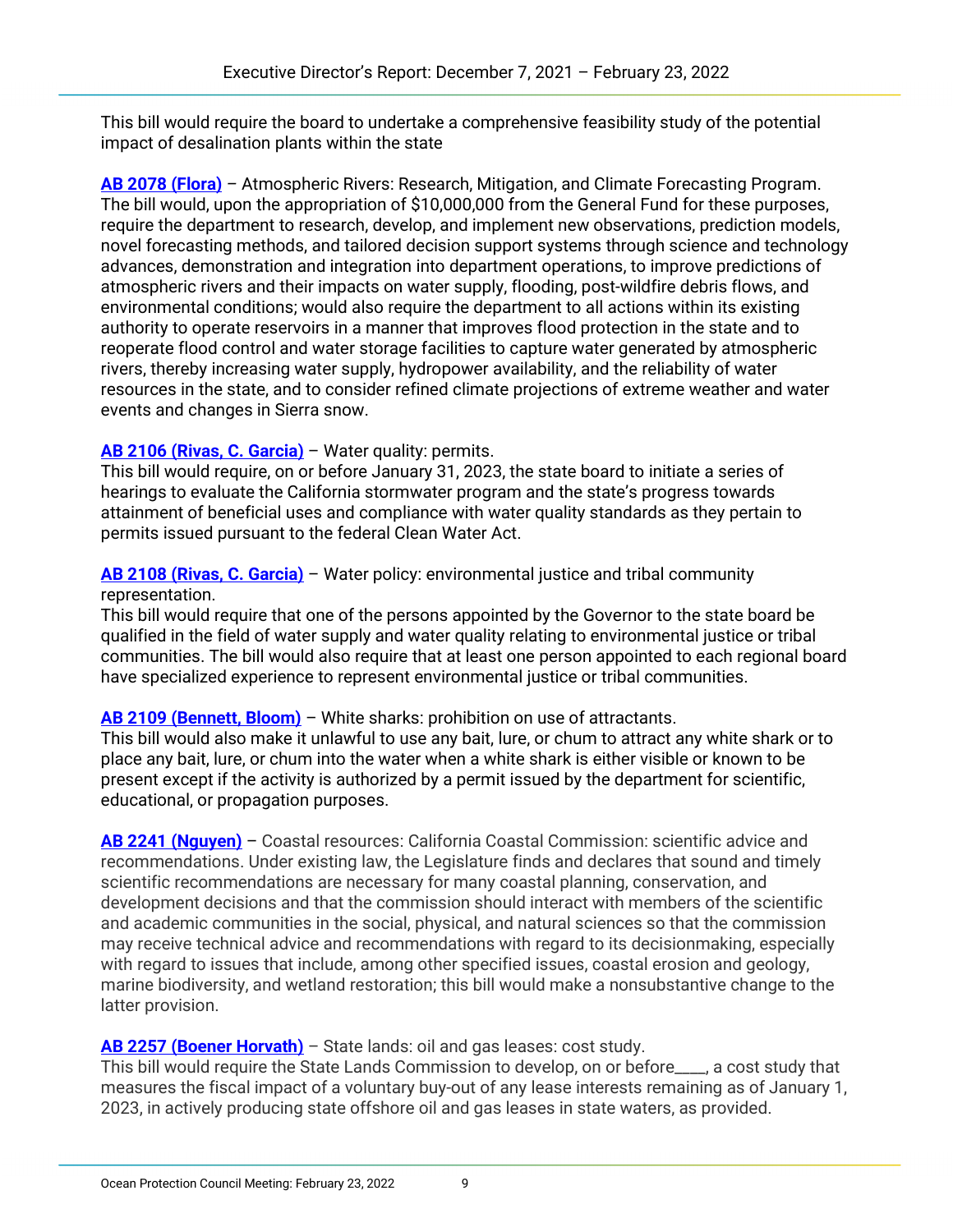This bill would require the board to undertake a comprehensive feasibility study of the potential impact of desalination plants within the state

**[AB 2078 \(Flora\)](https://leginfo.legislature.ca.gov/faces/billNavClient.xhtml?bill_id=202120220AB2078)** *–* Atmospheric Rivers: Research, Mitigation, and Climate Forecasting Program. The bill would, upon the appropriation of \$10,000,000 from the General Fund for these purposes, require the department to research, develop, and implement new observations, prediction models, novel forecasting methods, and tailored decision support systems through science and technology advances, demonstration and integration into department operations, to improve predictions of atmospheric rivers and their impacts on water supply, flooding, post-wildfire debris flows, and environmental conditions; would also require the department to all actions within its existing authority to operate reservoirs in a manner that improves flood protection in the state and to reoperate flood control and water storage facilities to capture water generated by atmospheric rivers, thereby increasing water supply, hydropower availability, and the reliability of water resources in the state, and to consider refined climate projections of extreme weather and water events and changes in Sierra snow.

# **[AB 2106 \(Rivas, C. Garcia\)](https://leginfo.legislature.ca.gov/faces/billNavClient.xhtml?bill_id=202120220AB2106)** – Water quality: permits.

This bill would require, on or before January 31, 2023, the state board to initiate a series of hearings to evaluate the California stormwater program and the state's progress towards attainment of beneficial uses and compliance with water quality standards as they pertain to permits issued pursuant to the federal Clean Water Act.

**[AB 2108 \(Rivas, C. Garcia\)](https://leginfo.legislature.ca.gov/faces/billNavClient.xhtml?bill_id=202120220AB2108)** – Water policy: environmental justice and tribal community representation.

This bill would require that one of the persons appointed by the Governor to the state board be qualified in the field of water supply and water quality relating to environmental justice or tribal communities. The bill would also require that at least one person appointed to each regional board have specialized experience to represent environmental justice or tribal communities.

# **[AB 2109 \(Bennett, Bloom\)](https://leginfo.legislature.ca.gov/faces/billNavClient.xhtml?bill_id=202120220AB2109)** – White sharks: prohibition on use of attractants.

This bill would also make it unlawful to use any bait, lure, or chum to attract any white shark or to place any bait, lure, or chum into the water when a white shark is either visible or known to be present except if the activity is authorized by a permit issued by the department for scientific, educational, or propagation purposes.

**[AB 2241 \(Nguyen\)](https://leginfo.legislature.ca.gov/faces/billNavClient.xhtml?bill_id=202120220AB2241)** – Coastal resources: California Coastal Commission: scientific advice and recommendations. Under existing law, the Legislature finds and declares that sound and timely scientific recommendations are necessary for many coastal planning, conservation, and development decisions and that the commission should interact with members of the scientific and academic communities in the social, physical, and natural sciences so that the commission may receive technical advice and recommendations with regard to its decisionmaking, especially with regard to issues that include, among other specified issues, coastal erosion and geology, marine biodiversity, and wetland restoration; this bill would make a nonsubstantive change to the latter provision.

# **[AB 2257 \(Boener Horvath\)](https://leginfo.legislature.ca.gov/faces/billNavClient.xhtml?bill_id=202120220AB2257)** – State lands: oil and gas leases: cost study.

This bill would require the State Lands Commission to develop, on or before\_\_\_\_, a cost study that measures the fiscal impact of a voluntary buy-out of any lease interests remaining as of January 1, 2023, in actively producing state offshore oil and gas leases in state waters, as provided.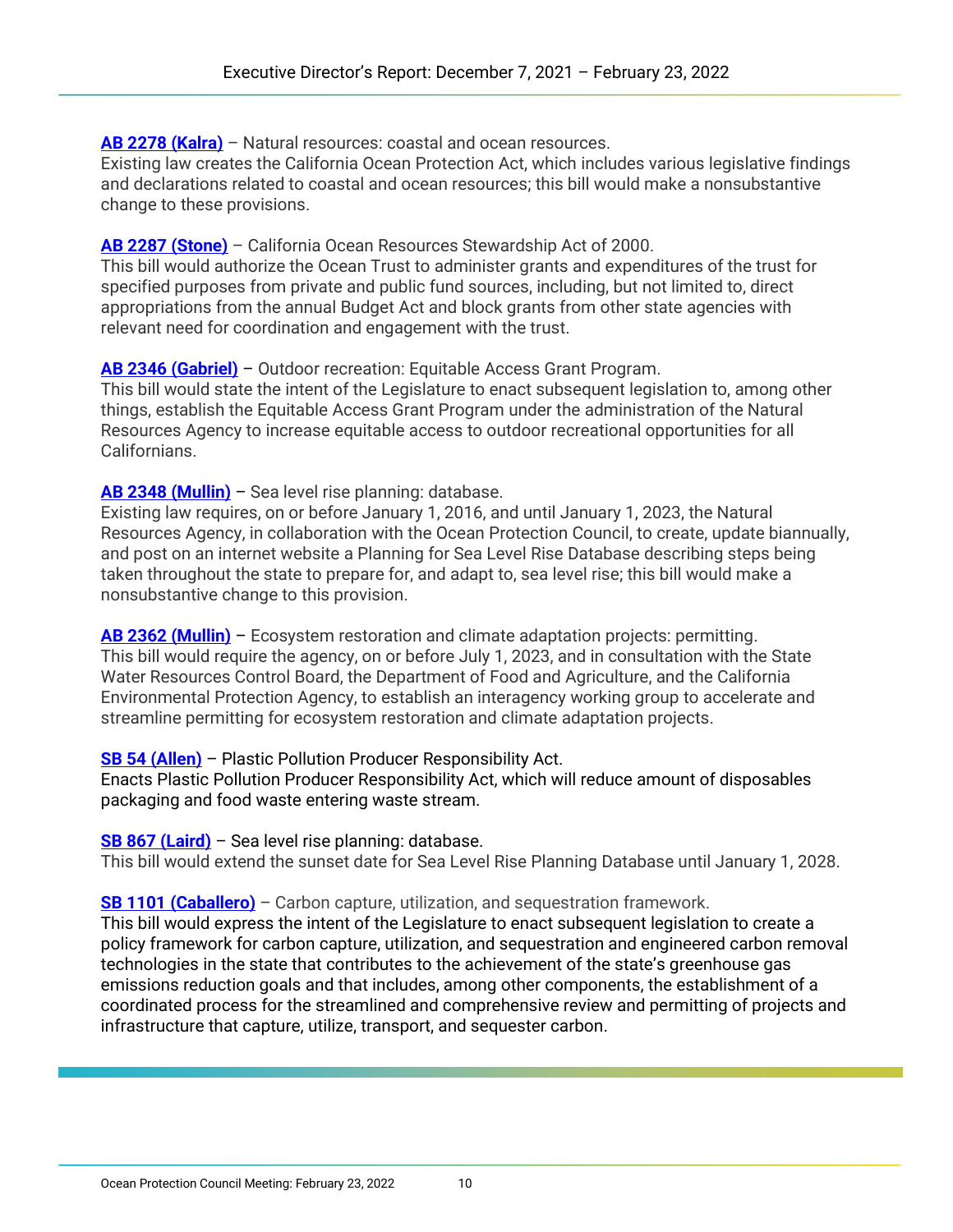**[AB 2278 \(Kalra\)](https://leginfo.legislature.ca.gov/faces/billNavClient.xhtml?bill_id=202120220AB2278)** – Natural resources: coastal and ocean resources.

Existing law creates the California Ocean Protection Act, which includes various legislative findings and declarations related to coastal and ocean resources; this bill would make a nonsubstantive change to these provisions.

#### **[AB 2287 \(Stone\)](https://leginfo.legislature.ca.gov/faces/billNavClient.xhtml?bill_id=202120220AB2287)** – California Ocean Resources Stewardship Act of 2000.

This bill would authorize the Ocean Trust to administer grants and expenditures of the trust for specified purposes from private and public fund sources, including, but not limited to, direct appropriations from the annual Budget Act and block grants from other state agencies with relevant need for coordination and engagement with the trust.

### **[AB 2346 \(Gabriel\)](https://leginfo.legislature.ca.gov/faces/billNavClient.xhtml?bill_id=202120220AB2346)** – Outdoor recreation: Equitable Access Grant Program.

This bill would state the intent of the Legislature to enact subsequent legislation to, among other things, establish the Equitable Access Grant Program under the administration of the Natural Resources Agency to increase equitable access to outdoor recreational opportunities for all Californians.

**[AB 2348 \(Mullin\)](https://leginfo.legislature.ca.gov/faces/billNavClient.xhtml?bill_id=202120220AB2348)** – Sea level rise planning: database.

Existing law requires, on or before January 1, 2016, and until January 1, 2023, the Natural Resources Agency, in collaboration with the Ocean Protection Council, to create, update biannually, and post on an internet website a Planning for Sea Level Rise Database describing steps being taken throughout the state to prepare for, and adapt to, sea level rise; this bill would make a nonsubstantive change to this provision.

**[AB 2362 \(Mullin\)](https://leginfo.legislature.ca.gov/faces/billNavClient.xhtml?bill_id=202120220AB2362)** – Ecosystem restoration and climate adaptation projects: permitting. This bill would require the agency, on or before July 1, 2023, and in consultation with the State Water Resources Control Board, the Department of Food and Agriculture, and the California Environmental Protection Agency, to establish an interagency working group to accelerate and streamline permitting for ecosystem restoration and climate adaptation projects.

#### **[SB 54 \(Allen\)](https://leginfo.legislature.ca.gov/faces/billNavClient.xhtml?bill_id=202120220SB54)** – Plastic Pollution Producer Responsibility Act.

Enacts Plastic Pollution Producer Responsibility Act, which will reduce amount of disposables packaging and food waste entering waste stream.

#### **[SB 867 \(Laird\)](https://leginfo.legislature.ca.gov/faces/billNavClient.xhtml?bill_id=202120220SB867)** – Sea level rise planning: database.

This bill would extend the sunset date for Sea Level Rise Planning Database until January 1, 2028.

#### **[SB 1101 \(Caballero\)](https://leginfo.legislature.ca.gov/faces/billNavClient.xhtml?bill_id=202120220SB1101)** – Carbon capture, utilization, and sequestration framework.

This bill would express the intent of the Legislature to enact subsequent legislation to create a policy framework for carbon capture, utilization, and sequestration and engineered carbon removal technologies in the state that contributes to the achievement of the state's greenhouse gas emissions reduction goals and that includes, among other components, the establishment of a coordinated process for the streamlined and comprehensive review and permitting of projects and infrastructure that capture, utilize, transport, and sequester carbon.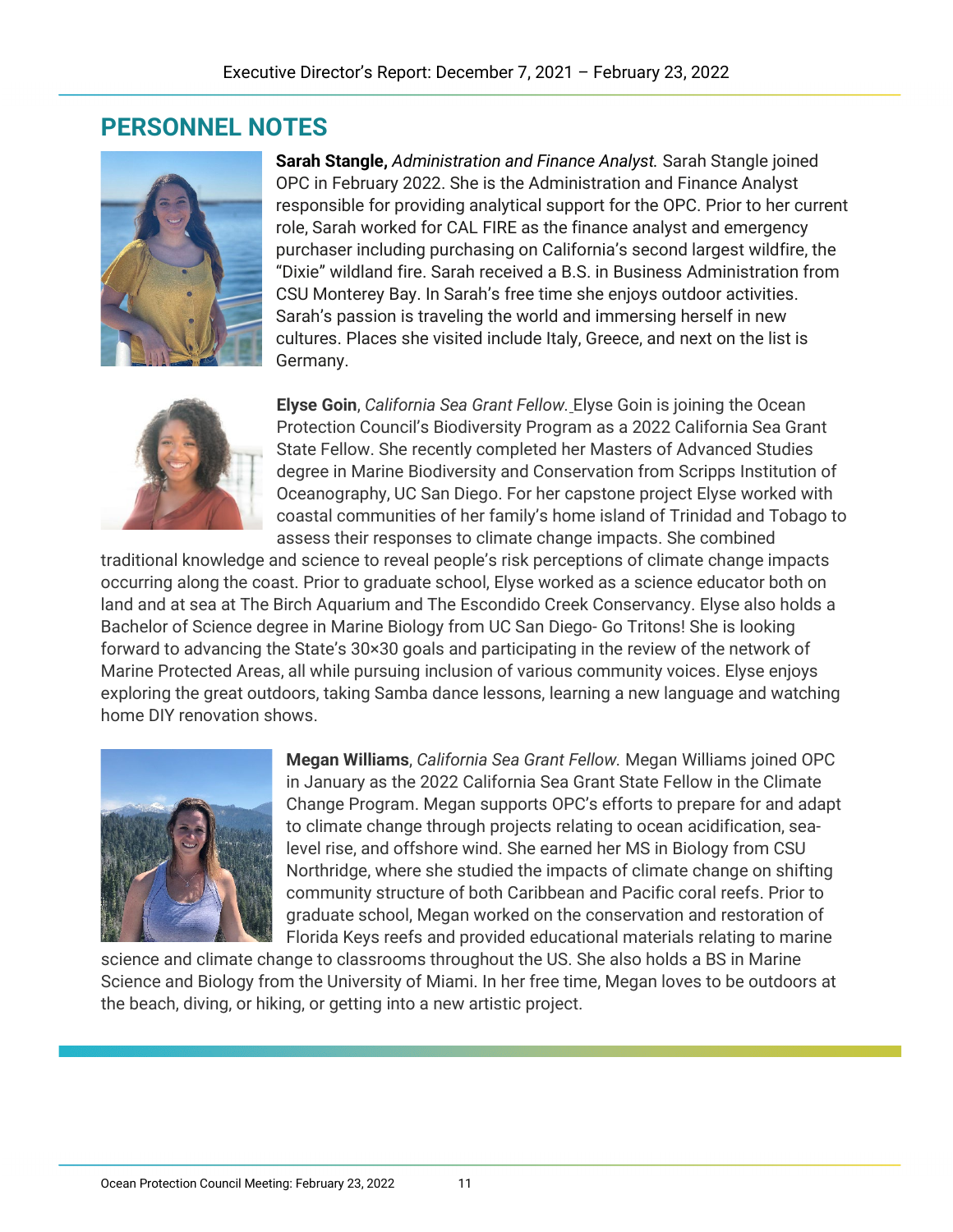# **PERSONNEL NOTES**



**Sarah Stangle,** *Administration and Finance Analyst.* Sarah Stangle joined OPC in February 2022. She is the Administration and Finance Analyst responsible for providing analytical support for the OPC. Prior to her current role, Sarah worked for CAL FIRE as the finance analyst and emergency purchaser including purchasing on California's second largest wildfire, the "Dixie" wildland fire. Sarah received a B.S. in Business Administration from CSU Monterey Bay. In Sarah's free time she enjoys outdoor activities. Sarah's passion is traveling the world and immersing herself in new cultures. Places she visited include Italy, Greece, and next on the list is Germany.



**Elyse Goin**, *California Sea Grant Fellow.* Elyse Goin is joining the Ocean Protection Council's Biodiversity Program as a 2022 California Sea Grant State Fellow. She recently completed her Masters of Advanced Studies degree in Marine Biodiversity and Conservation from Scripps Institution of Oceanography, UC San Diego. For her capstone project Elyse worked with coastal communities of her family's home island of Trinidad and Tobago to assess their responses to climate change impacts. She combined

traditional knowledge and science to reveal people's risk perceptions of climate change impacts occurring along the coast. Prior to graduate school, Elyse worked as a science educator both on land and at sea at The Birch Aquarium and The Escondido Creek Conservancy. Elyse also holds a Bachelor of Science degree in Marine Biology from UC San Diego- Go Tritons! She is looking forward to advancing the State's 30×30 goals and participating in the review of the network of Marine Protected Areas, all while pursuing inclusion of various community voices. Elyse enjoys exploring the great outdoors, taking Samba dance lessons, learning a new language and watching home DIY renovation shows.



**Megan Williams**, *California Sea Grant Fellow.* Megan Williams joined OPC in January as the 2022 California Sea Grant State Fellow in the Climate Change Program. Megan supports OPC's efforts to prepare for and adapt to climate change through projects relating to ocean acidification, sealevel rise, and offshore wind. She earned her MS in Biology from CSU Northridge, where she studied the impacts of climate change on shifting community structure of both Caribbean and Pacific coral reefs. Prior to graduate school, Megan worked on the conservation and restoration of Florida Keys reefs and provided educational materials relating to marine

science and climate change to classrooms throughout the US. She also holds a BS in Marine Science and Biology from the University of Miami. In her free time, Megan loves to be outdoors at the beach, diving, or hiking, or getting into a new artistic project.